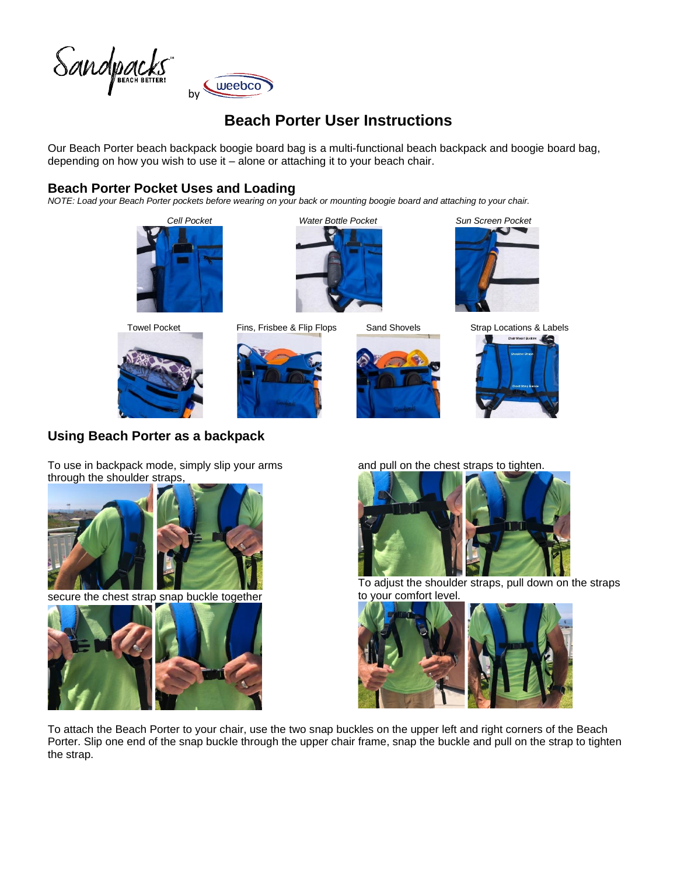

# **Beach Porter User Instructions**

Our Beach Porter beach backpack boogie board bag is a multi-functional beach backpack and boogie board bag, depending on how you wish to use it – alone or attaching it to your beach chair.

### **Beach Porter Pocket Uses and Loading**

*NOTE: Load your Beach Porter pockets before wearing on your back or mounting boogie board and attaching to your chair.*





























To use in backpack mode, simply slip your arms

**Using Beach Porter as a backpack**



secure the chest strap snap buckle together



and pull on the chest straps to tighten.



To adjust the shoulder straps, pull down on the straps to your comfort level.



To attach the Beach Porter to your chair, use the two snap buckles on the upper left and right corners of the Beach Porter. Slip one end of the snap buckle through the upper chair frame, snap the buckle and pull on the strap to tighten the strap.